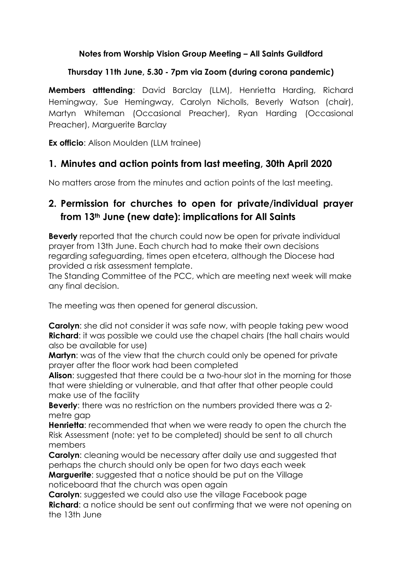### **Notes from Worship Vision Group Meeting – All Saints Guildford**

### **Thursday 11th June, 5.30 - 7pm via Zoom (during corona pandemic)**

**Members atttending**: David Barclay (LLM), Henrietta Harding, Richard Hemingway, Sue Hemingway, Carolyn Nicholls, Beverly Watson (chair), Martyn Whiteman (Occasional Preacher), Ryan Harding (Occasional Preacher), Marguerite Barclay

**Ex officio:** Alison Moulden (LLM trainee)

### **1. Minutes and action points from last meeting, 30th April 2020**

No matters arose from the minutes and action points of the last meeting.

# **2. Permission for churches to open for private/individual prayer from 13th June (new date): implications for All Saints**

**Beverly** reported that the church could now be open for private individual prayer from 13th June. Each church had to make their own decisions regarding safeguarding, times open etcetera, although the Diocese had provided a risk assessment template.

The Standing Committee of the PCC, which are meeting next week will make any final decision.

The meeting was then opened for general discussion.

**Carolyn:** she did not consider it was safe now, with people taking pew wood **Richard:** it was possible we could use the chapel chairs (the hall chairs would also be available for use)

**Martyn**: was of the view that the church could only be opened for private prayer after the floor work had been completed

**Alison:** suggested that there could be a two-hour slot in the morning for those that were shielding or vulnerable, and that after that other people could make use of the facility

**Beverly**: there was no restriction on the numbers provided there was a 2 metre gap

**Henrietta**: recommended that when we were ready to open the church the Risk Assessment (note: yet to be completed) should be sent to all church members

**Carolyn:** cleaning would be necessary after daily use and suggested that perhaps the church should only be open for two days each week **Marguerite:** suggested that a notice should be put on the Village noticeboard that the church was open again

**Carolyn:** suggested we could also use the village Facebook page **Richard**: a notice should be sent out confirming that we were not opening on the 13th June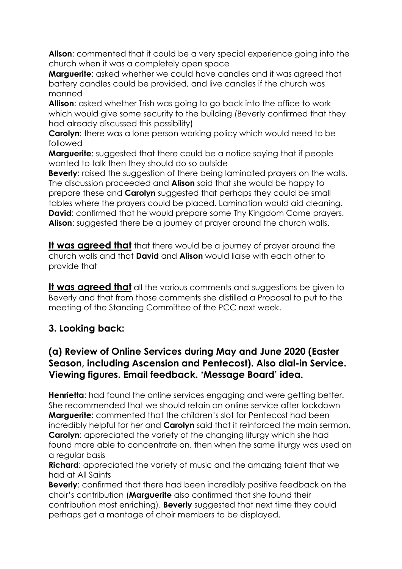**Alison**: commented that it could be a very special experience going into the church when it was a completely open space

**Marquerite**: asked whether we could have candles and it was agreed that battery candles could be provided, and live candles if the church was manned

**Allison:** asked whether Trish was going to go back into the office to work which would give some security to the building (Beverly confirmed that they had already discussed this possibility)

**Carolyn:** there was a lone person working policy which would need to be followed

**Marguerite:** suggested that there could be a notice saying that if people wanted to talk then they should do so outside

**Beverly:** raised the suggestion of there being laminated prayers on the walls. The discussion proceeded and **Alison** said that she would be happy to prepare these and **Carolyn** suggested that perhaps they could be small tables where the prayers could be placed. Lamination would aid cleaning. **David:** confirmed that he would prepare some Thy Kingdom Come prayers. **Alison**: suggested there be a journey of prayer around the church walls.

**It was agreed that** that there would be a journey of prayer around the church walls and that **David** and **Alison** would liaise with each other to provide that

**It was agreed that** all the various comments and suggestions be given to Beverly and that from those comments she distilled a Proposal to put to the meeting of the Standing Committee of the PCC next week.

# **3. Looking back:**

### **(a) Review of Online Services during May and June 2020 (Easter Season, including Ascension and Pentecost). Also dial-in Service. Viewing figures. Email feedback. 'Message Board' idea.**

**Henrietta:** had found the online services engaging and were getting better. She recommended that we should retain an online service after lockdown **Marguerite**: commented that the children's slot for Pentecost had been incredibly helpful for her and **Carolyn** said that it reinforced the main sermon. **Carolyn:** appreciated the variety of the changing liturgy which she had found more able to concentrate on, then when the same liturgy was used on a regular basis

**Richard:** appreciated the variety of music and the amazing talent that we had at All Saints

**Beverly**: confirmed that there had been incredibly positive feedback on the choir's contribution (**Marguerite** also confirmed that she found their contribution most enriching). **Beverly** suggested that next time they could perhaps get a montage of choir members to be displayed.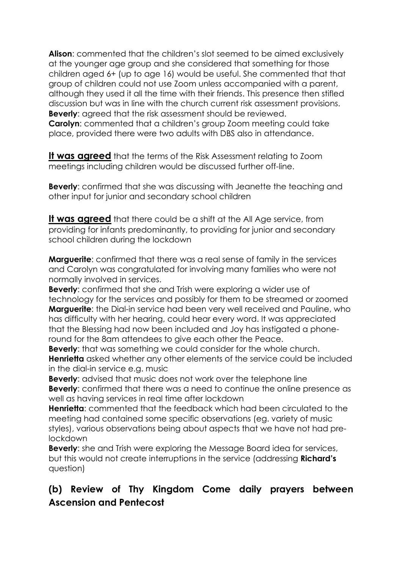**Alison**: commented that the children's slot seemed to be aimed exclusively at the younger age group and she considered that something for those children aged 6+ (up to age 16) would be useful. She commented that that group of children could not use Zoom unless accompanied with a parent, although they used it all the time with their friends. This presence then stifled discussion but was in line with the church current risk assessment provisions. **Beverly**: agreed that the risk assessment should be reviewed. **Carolyn:** commented that a children's group Zoom meeting could take place, provided there were two adults with DBS also in attendance.

**It was agreed** that the terms of the Risk Assessment relating to Zoom meetings including children would be discussed further off-line.

**Beverly**: confirmed that she was discussing with Jeanette the teaching and other input for junior and secondary school children

**It was agreed** that there could be a shift at the All Age service, from providing for infants predominantly, to providing for junior and secondary school children during the lockdown

**Marguerite**: confirmed that there was a real sense of family in the services and Carolyn was congratulated for involving many families who were not normally involved in services.

**Beverly:** confirmed that she and Trish were exploring a wider use of technology for the services and possibly for them to be streamed or zoomed **Marguerite**: the Dial-in service had been very well received and Pauline, who has difficulty with her hearing, could hear every word. It was appreciated that the Blessing had now been included and Joy has instigated a phoneround for the 8am attendees to give each other the Peace.

**Beverly**: that was something we could consider for the whole church. **Henrietta** asked whether any other elements of the service could be included in the dial-in service e.g. music

**Beverly**: advised that music does not work over the telephone line **Beverly**: confirmed that there was a need to continue the online presence as well as having services in real time after lockdown

**Henrietta**: commented that the feedback which had been circulated to the meeting had contained some specific observations (eg. variety of music styles), various observations being about aspects that we have not had prelockdown

**Beverly:** she and Trish were exploring the Message Board idea for services, but this would not create interruptions in the service (addressing **Richard's** question)

# **(b) Review of Thy Kingdom Come daily prayers between Ascension and Pentecost**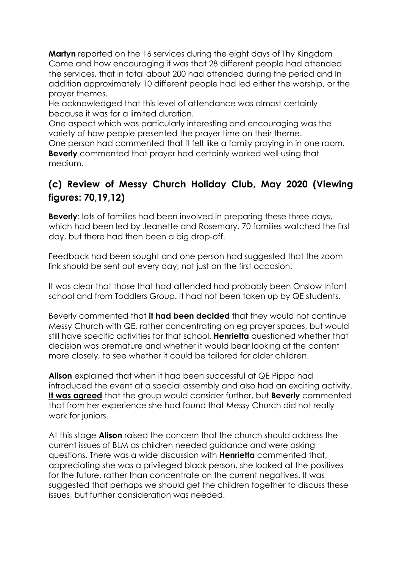**Martyn** reported on the 16 services during the eight days of Thy Kingdom Come and how encouraging it was that 28 different people had attended the services, that in total about 200 had attended during the period and In addition approximately 10 different people had led either the worship, or the prayer themes.

He acknowledged that this level of attendance was almost certainly because it was for a limited duration.

One aspect which was particularly interesting and encouraging was the variety of how people presented the prayer time on their theme.

One person had commented that it felt like a family praying in in one room. **Beverly** commented that prayer had certainly worked well using that medium.

# **(c) Review of Messy Church Holiday Club, May 2020 (Viewing figures: 70,19,12)**

**Beverly:** lots of families had been involved in preparing these three days, which had been led by Jeanette and Rosemary. 70 families watched the first day, but there had then been a big drop-off.

Feedback had been sought and one person had suggested that the zoom link should be sent out every day, not just on the first occasion.

It was clear that those that had attended had probably been Onslow Infant school and from Toddlers Group. It had not been taken up by QE students.

Beverly commented that **it had been decided** that they would not continue Messy Church with QE, rather concentrating on eg prayer spaces, but would still have specific activities for that school. **Henrietta** questioned whether that decision was premature and whether it would bear looking at the content more closely, to see whether it could be tailored for older children.

**Alison** explained that when it had been successful at QE Pippa had introduced the event at a special assembly and also had an exciting activity. **It was agreed** that the group would consider further, but **Beverly** commented that from her experience she had found that Messy Church did not really work for juniors.

At this stage **Alison** raised the concern that the church should address the current issues of BLM as children needed guidance and were asking questions. There was a wide discussion with **Henrietta** commented that, appreciating she was a privileged black person, she looked at the positives for the future, rather than concentrate on the current negatives. It was suggested that perhaps we should get the children together to discuss these issues, but further consideration was needed.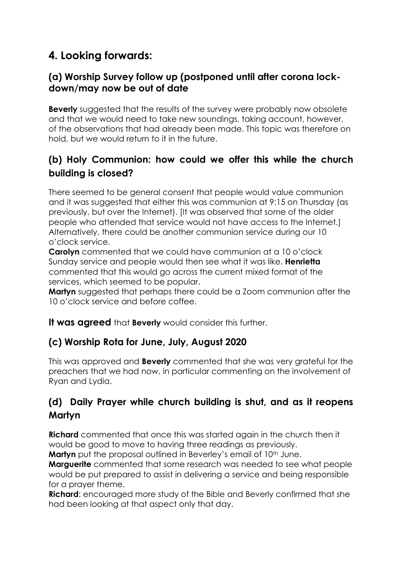# **4. Looking forwards:**

### **(a) Worship Survey follow up (postponed until after corona lockdown/may now be out of date**

**Beverly** suggested that the results of the survey were probably now obsolete and that we would need to take new soundings, taking account, however, of the observations that had already been made. This topic was therefore on hold, but we would return to it in the future.

# **(b) Holy Communion: how could we offer this while the church building is closed?**

There seemed to be general consent that people would value communion and it was suggested that either this was communion at 9:15 on Thursday (as previously, but over the Internet). [It was observed that some of the older people who attended that service would not have access to the Internet.] Alternatively, there could be another communion service during our 10 o'clock service.

**Carolyn** commented that we could have communion at a 10 o'clock Sunday service and people would then see what it was like. **Henrietta** commented that this would go across the current mixed format of the services, which seemed to be popular.

**Martyn** suggested that perhaps there could be a Zoom communion after the 10 o'clock service and before coffee.

**It was agreed** that **Beverly** would consider this further.

### **(c) Worship Rota for June, July, August 2020**

This was approved and **Beverly** commented that she was very grateful for the preachers that we had now, in particular commenting on the involvement of Ryan and Lydia.

# **(d) Daily Prayer while church building is shut, and as it reopens Martyn**

**Richard** commented that once this was started again in the church then it would be good to move to having three readings as previously.

**Martyn** put the proposal outlined in Beverley's email of 10<sup>th</sup> June.

**Marguerite** commented that some research was needed to see what people would be put prepared to assist in delivering a service and being responsible for a prayer theme.

**Richard**: encouraged more study of the Bible and Beverly confirmed that she had been looking at that aspect only that day.